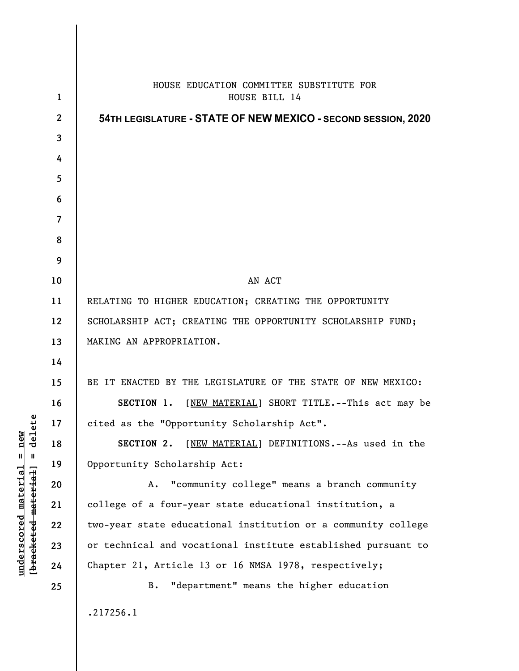|                      |                          | HOUSE EDUCATION COMMITTEE SUBSTITUTE FOR                      |
|----------------------|--------------------------|---------------------------------------------------------------|
|                      | $\mathbf{1}$             | HOUSE BILL 14                                                 |
|                      | $\mathbf{2}$             | 54TH LEGISLATURE - STATE OF NEW MEXICO - SECOND SESSION, 2020 |
|                      | $\overline{3}$           |                                                               |
|                      | 4                        |                                                               |
|                      | 5                        |                                                               |
|                      | 6                        |                                                               |
|                      | $\overline{\mathcal{L}}$ |                                                               |
|                      | 8                        |                                                               |
|                      | 9                        |                                                               |
|                      | 10                       | AN ACT                                                        |
|                      | 11                       | RELATING TO HIGHER EDUCATION; CREATING THE OPPORTUNITY        |
|                      | 12                       | SCHOLARSHIP ACT; CREATING THE OPPORTUNITY SCHOLARSHIP FUND;   |
|                      | 13                       | MAKING AN APPROPRIATION.                                      |
|                      | 14                       |                                                               |
|                      | 15                       | BE IT ENACTED BY THE LEGISLATURE OF THE STATE OF NEW MEXICO:  |
|                      | 16                       | SECTION 1. [NEW MATERIAL] SHORT TITLE.--This act may be       |
| ى                    | 17                       | cited as the "Opportunity Scholarship Act".                   |
| dele                 | 18                       | [NEW MATERIAL] DEFINITIONS. -- As used in the<br>SECTION 2.   |
| Ш                    | 19                       | Opportunity Scholarship Act:                                  |
|                      | 20                       | "community college" means a branch community<br>A.            |
|                      | 21                       | college of a four-year state educational institution, a       |
|                      | 22                       | two-year state educational institution or a community college |
|                      | 23                       | or technical and vocational institute established pursuant to |
| [bracketed-material] | 24                       | Chapter 21, Article 13 or 16 NMSA 1978, respectively;         |
|                      | 25                       | "department" means the higher education<br><b>B.</b>          |
|                      |                          | .217256.1                                                     |

**underscored material = new [bracketed material] = delete**

 $underscored material = new$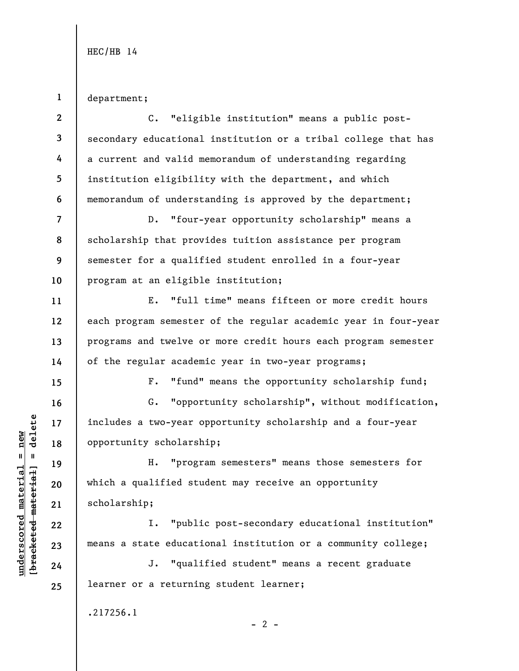**1**  department;

**underscored material = new [bracketed material] = delete**

 $b$ racketed material] = delete  $underscored material = new$ 

**2 3 4 5 6 7 8 9 10 11 12 13 14 15 16 17 18 19 20 21 22 23 24 25**  C. "eligible institution" means a public postsecondary educational institution or a tribal college that has a current and valid memorandum of understanding regarding institution eligibility with the department, and which memorandum of understanding is approved by the department; D. "four-year opportunity scholarship" means a scholarship that provides tuition assistance per program semester for a qualified student enrolled in a four-year program at an eligible institution; E. "full time" means fifteen or more credit hours each program semester of the regular academic year in four-year programs and twelve or more credit hours each program semester of the regular academic year in two-year programs; F. "fund" means the opportunity scholarship fund; G. "opportunity scholarship", without modification, includes a two-year opportunity scholarship and a four-year opportunity scholarship; H. "program semesters" means those semesters for which a qualified student may receive an opportunity scholarship; I. "public post-secondary educational institution" means a state educational institution or a community college; J. "qualified student" means a recent graduate learner or a returning student learner; .217256.1  $- 2 -$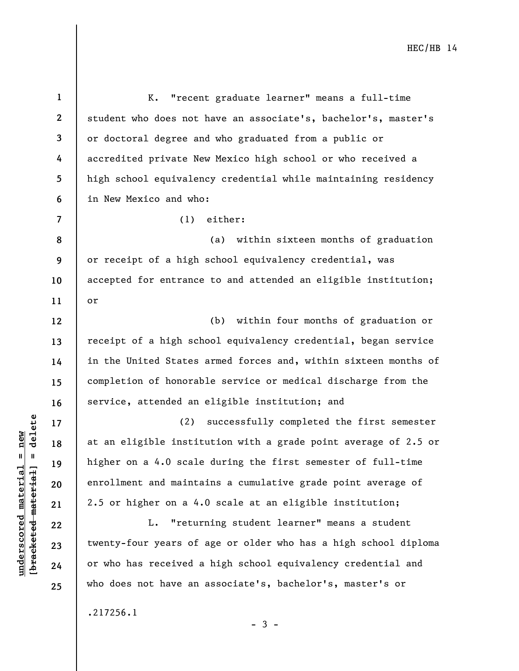**1 2 3 4 5 6 7 8 9 10 11 12 13 14 15 16 17 18 19 20 21 22 23 24 25**  K. "recent graduate learner" means a full-time student who does not have an associate's, bachelor's, master's or doctoral degree and who graduated from a public or accredited private New Mexico high school or who received a high school equivalency credential while maintaining residency in New Mexico and who: (1) either: (a) within sixteen months of graduation or receipt of a high school equivalency credential, was accepted for entrance to and attended an eligible institution; or (b) within four months of graduation or receipt of a high school equivalency credential, began service in the United States armed forces and, within sixteen months of completion of honorable service or medical discharge from the service, attended an eligible institution; and (2) successfully completed the first semester at an eligible institution with a grade point average of 2.5 or higher on a 4.0 scale during the first semester of full-time enrollment and maintains a cumulative grade point average of 2.5 or higher on a 4.0 scale at an eligible institution; L. "returning student learner" means a student twenty-four years of age or older who has a high school diploma or who has received a high school equivalency credential and who does not have an associate's, bachelor's, master's or

- 3 -

.217256.1

 $b$ racketed material] = delete **[bracketed material] = delete**  $underscored material = new$ **underscored material = new**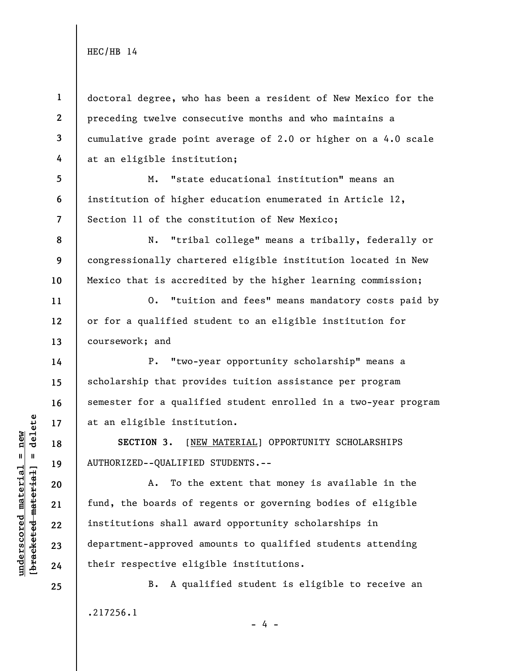**1 2 3 4 5 6 7 8 9 10 11 12 13 14 15 16 17 18 19 20 21 22 23 24 25**  doctoral degree, who has been a resident of New Mexico for the preceding twelve consecutive months and who maintains a cumulative grade point average of 2.0 or higher on a 4.0 scale at an eligible institution; M. "state educational institution" means an institution of higher education enumerated in Article 12, Section 11 of the constitution of New Mexico; N. "tribal college" means a tribally, federally or congressionally chartered eligible institution located in New Mexico that is accredited by the higher learning commission; O. "tuition and fees" means mandatory costs paid by or for a qualified student to an eligible institution for coursework; and P. "two-year opportunity scholarship" means a scholarship that provides tuition assistance per program semester for a qualified student enrolled in a two-year program at an eligible institution. **SECTION 3.** [NEW MATERIAL] OPPORTUNITY SCHOLARSHIPS AUTHORIZED--QUALIFIED STUDENTS.-- A. To the extent that money is available in the fund, the boards of regents or governing bodies of eligible institutions shall award opportunity scholarships in department-approved amounts to qualified students attending their respective eligible institutions. B. A qualified student is eligible to receive an

- 4 -

.217256.1

 $b$ racketed material] = delete **[bracketed material] = delete**  $underscored material = new$ **underscored material = new**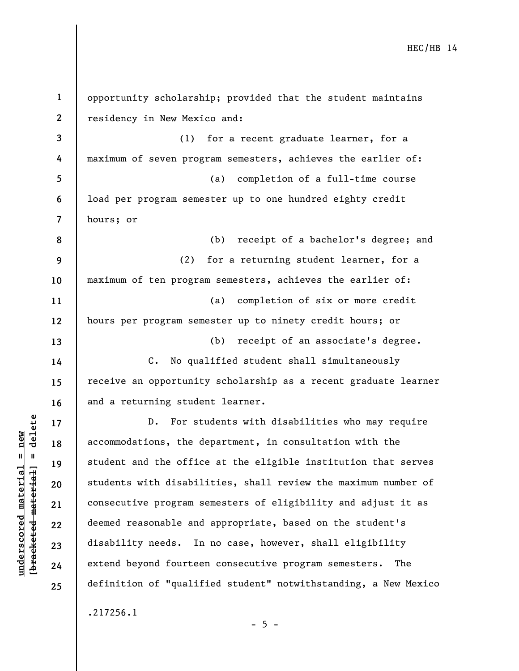**1 2 3 4 5 6 7 8 9 10 11 12 13 14 15 16 17 18 19 20 21 22 23 24 25**  opportunity scholarship; provided that the student maintains residency in New Mexico and: (1) for a recent graduate learner, for a maximum of seven program semesters, achieves the earlier of: (a) completion of a full-time course load per program semester up to one hundred eighty credit hours; or (b) receipt of a bachelor's degree; and (2) for a returning student learner, for a maximum of ten program semesters, achieves the earlier of: (a) completion of six or more credit hours per program semester up to ninety credit hours; or (b) receipt of an associate's degree. C. No qualified student shall simultaneously receive an opportunity scholarship as a recent graduate learner and a returning student learner. D. For students with disabilities who may require accommodations, the department, in consultation with the student and the office at the eligible institution that serves students with disabilities, shall review the maximum number of consecutive program semesters of eligibility and adjust it as deemed reasonable and appropriate, based on the student's disability needs. In no case, however, shall eligibility extend beyond fourteen consecutive program semesters. The definition of "qualified student" notwithstanding, a New Mexico .217256.1

**underscored material = new [bracketed material] = delete**

 $b$ racketed material] = delete  $underscored material = new$ 

 $- 5 -$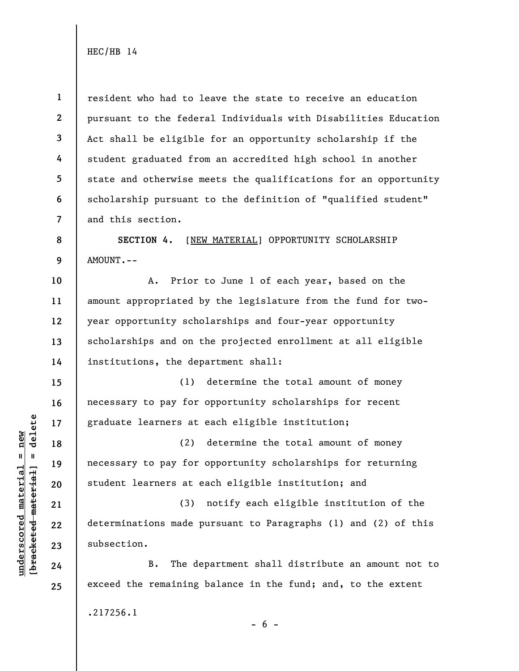**1 2 3 4 5 6 7 8 9 10 11 12 13 14 15 16 17 18 19 20 21 22 23 24 25**  resident who had to leave the state to receive an education pursuant to the federal Individuals with Disabilities Education Act shall be eligible for an opportunity scholarship if the student graduated from an accredited high school in another state and otherwise meets the qualifications for an opportunity scholarship pursuant to the definition of "qualified student" and this section. **SECTION 4.** [NEW MATERIAL] OPPORTUNITY SCHOLARSHIP AMOUNT.-- A. Prior to June 1 of each year, based on the amount appropriated by the legislature from the fund for twoyear opportunity scholarships and four-year opportunity scholarships and on the projected enrollment at all eligible institutions, the department shall: (1) determine the total amount of money necessary to pay for opportunity scholarships for recent graduate learners at each eligible institution; (2) determine the total amount of money necessary to pay for opportunity scholarships for returning student learners at each eligible institution; and (3) notify each eligible institution of the determinations made pursuant to Paragraphs (1) and (2) of this subsection. B. The department shall distribute an amount not to exceed the remaining balance in the fund; and, to the extent .217256.1

 $b$ racketed material] = delete **[bracketed material] = delete**  $underscored material = new$ **underscored material = new**

 $- 6 -$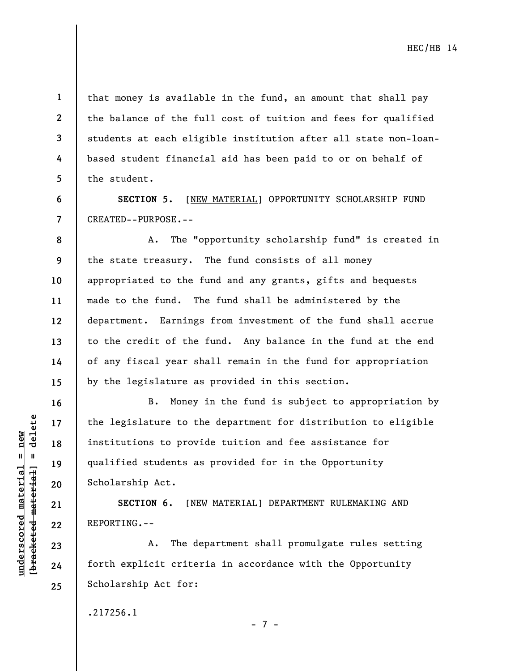**2 3** 

**4** 

**5** 

**6** 

**7** 

**16** 

**17** 

**18** 

**19** 

**20** 

**21** 

**22** 

**23** 

**24** 

**25** 

**1** 

that money is available in the fund, an amount that shall pay the balance of the full cost of tuition and fees for qualified students at each eligible institution after all state non-loanbased student financial aid has been paid to or on behalf of the student.

**SECTION 5.** [NEW MATERIAL] OPPORTUNITY SCHOLARSHIP FUND CREATED--PURPOSE.--

**8 9 10 11 12 13 14 15**  A. The "opportunity scholarship fund" is created in the state treasury. The fund consists of all money appropriated to the fund and any grants, gifts and bequests made to the fund. The fund shall be administered by the department. Earnings from investment of the fund shall accrue to the credit of the fund. Any balance in the fund at the end of any fiscal year shall remain in the fund for appropriation by the legislature as provided in this section.

B. Money in the fund is subject to appropriation by the legislature to the department for distribution to eligible institutions to provide tuition and fee assistance for qualified students as provided for in the Opportunity Scholarship Act.

**SECTION 6.** [NEW MATERIAL] DEPARTMENT RULEMAKING AND REPORTING.--

A. The department shall promulgate rules setting forth explicit criteria in accordance with the Opportunity Scholarship Act for:

.217256.1

- 7 -

 $b$ racketed material] = delete **[bracketed material] = delete**  $underscored material = new$ **underscored material = new**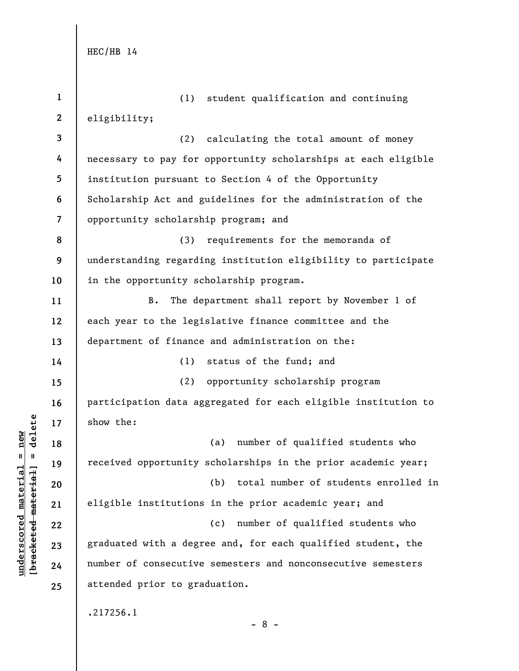| $\mathbf{1}$   | student qualification and continuing<br>(1)                    |
|----------------|----------------------------------------------------------------|
| $\mathbf{2}$   | eligibility;                                                   |
| 3              | (2)<br>calculating the total amount of money                   |
| 4              | necessary to pay for opportunity scholarships at each eligible |
| 5              | institution pursuant to Section 4 of the Opportunity           |
| 6              | Scholarship Act and guidelines for the administration of the   |
| $\overline{7}$ | opportunity scholarship program; and                           |
| 8              | (3)<br>requirements for the memoranda of                       |
| 9              | understanding regarding institution eligibility to participate |
| 10             | in the opportunity scholarship program.                        |
| 11             | $B$ .<br>The department shall report by November 1 of          |
| 12             | each year to the legislative finance committee and the         |
| 13             | department of finance and administration on the:               |
| 14             | status of the fund; and<br>(1)                                 |
| 15             | (2)<br>opportunity scholarship program                         |
| 16             | participation data aggregated for each eligible institution to |
| 17             | show the:                                                      |
| 18             | number of qualified students who<br>(a)                        |
| 19             | received opportunity scholarships in the prior academic year;  |
| 20             | (b) total number of students enrolled in                       |
| 21             | eligible institutions in the prior academic year; and          |
| 22             | (c)<br>number of qualified students who                        |
| 23             | graduated with a degree and, for each qualified student, the   |
| 24             | number of consecutive semesters and nonconsecutive semesters   |
| 25             | attended prior to graduation.                                  |
|                | .217256.1<br>$-8-$                                             |

## $\frac{\text{underscored material} = \text{new}}{(\text{bracketed material}) = \text{dev}}$ **[bracketed material] = delete underscored material = new**